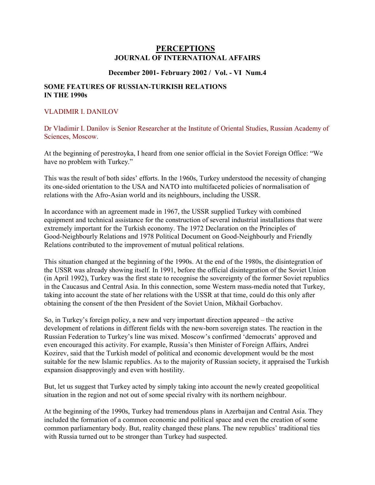## **PERCEPTIONS JOURNAL OF INTERNATIONAL AFFAIRS**

## **December 2001- February 2002 / Vol. - VI Num.4**

## **SOME FEATURES OF RUSSIAN-TURKISH RELATIONS IN THE 1990s**

## VLADIMIR I. DANILOV

Dr Vladimir I. Danilov is Senior Researcher at the Institute of Oriental Studies, Russian Academy of Sciences, Moscow.

At the beginning of perestroyka, I heard from one senior official in the Soviet Foreign Office: "We have no problem with Turkey."

This was the result of both sides' efforts. In the 1960s, Turkey understood the necessity of changing its one-sided orientation to the USA and NATO into multifaceted policies of normalisation of relations with the Afro-Asian world and its neighbours, including the USSR.

In accordance with an agreement made in 1967, the USSR supplied Turkey with combined equipment and technical assistance for the construction of several industrial installations that were extremely important for the Turkish economy. The 1972 Declaration on the Principles of Good-Neighbourly Relations and 1978 Political Document on Good-Neighbourly and Friendly Relations contributed to the improvement of mutual political relations.

This situation changed at the beginning of the 1990s. At the end of the 1980s, the disintegration of the USSR was already showing itself. In 1991, before the official disintegration of the Soviet Union (in April 1992), Turkey was the first state to recognise the sovereignty of the former Soviet republics in the Caucasus and Central Asia. In this connection, some Western mass-media noted that Turkey, taking into account the state of her relations with the USSR at that time, could do this only after obtaining the consent of the then President of the Soviet Union, Mikhail Gorbachov.

So, in Turkey's foreign policy, a new and very important direction appeared – the active development of relations in different fields with the new-born sovereign states. The reaction in the Russian Federation to Turkey's line was mixed. Moscow's confirmed 'democrats' approved and even encouraged this activity. For example, Russia's then Minister of Foreign Affairs, Andrei Kozirev, said that the Turkish model of political and economic development would be the most suitable for the new Islamic republics. As to the majority of Russian society, it appraised the Turkish expansion disapprovingly and even with hostility.

But, let us suggest that Turkey acted by simply taking into account the newly created geopolitical situation in the region and not out of some special rivalry with its northern neighbour.

At the beginning of the 1990s, Turkey had tremendous plans in Azerbaijan and Central Asia. They included the formation of a common economic and political space and even the creation of some common parliamentary body. But, reality changed these plans. The new republics' traditional ties with Russia turned out to be stronger than Turkey had suspected.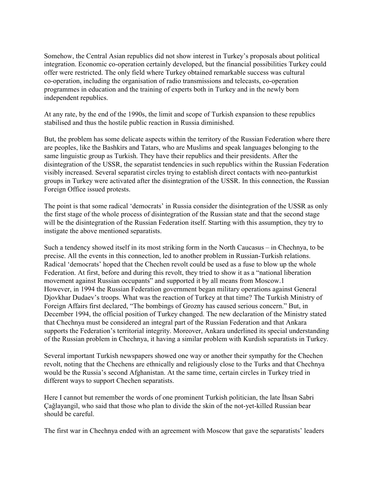Somehow, the Central Asian republics did not show interest in Turkey's proposals about political integration. Economic co-operation certainly developed, but the financial possibilities Turkey could offer were restricted. The only field where Turkey obtained remarkable success was cultural co-operation, including the organisation of radio transmissions and telecasts, co-operation programmes in education and the training of experts both in Turkey and in the newly born independent republics.

At any rate, by the end of the 1990s, the limit and scope of Turkish expansion to these republics stabilised and thus the hostile public reaction in Russia diminished.

But, the problem has some delicate aspects within the territory of the Russian Federation where there are peoples, like the Bashkirs and Tatars, who are Muslims and speak languages belonging to the same linguistic group as Turkish. They have their republics and their presidents. After the disintegration of the USSR, the separatist tendencies in such republics within the Russian Federation visibly increased. Several separatist circles trying to establish direct contacts with neo-panturkist groups in Turkey were activated after the disintegration of the USSR. In this connection, the Russian Foreign Office issued protests.

The point is that some radical 'democrats' in Russia consider the disintegration of the USSR as only the first stage of the whole process of disintegration of the Russian state and that the second stage will be the disintegration of the Russian Federation itself. Starting with this assumption, they try to instigate the above mentioned separatists.

Such a tendency showed itself in its most striking form in the North Caucasus – in Chechnya, to be precise. All the events in this connection, led to another problem in Russian-Turkish relations. Radical 'democrats' hoped that the Chechen revolt could be used as a fuse to blow up the whole Federation. At first, before and during this revolt, they tried to show it as a "national liberation movement against Russian occupants" and supported it by all means from Moscow.1 However, in 1994 the Russian Federation government began military operations against General Djovkhar Dudaev's troops. What was the reaction of Turkey at that time? The Turkish Ministry of Foreign Affairs first declared, "The bombings of Grozny has caused serious concern." But, in December 1994, the official position of Turkey changed. The new declaration of the Ministry stated that Chechnya must be considered an integral part of the Russian Federation and that Ankara supports the Federation's territorial integrity. Moreover, Ankara underlined its special understanding of the Russian problem in Chechnya, it having a similar problem with Kurdish separatists in Turkey.

Several important Turkish newspapers showed one way or another their sympathy for the Chechen revolt, noting that the Chechens are ethnically and religiously close to the Turks and that Chechnya would be the Russia's second Afghanistan. At the same time, certain circles in Turkey tried in different ways to support Chechen separatists.

Here I cannot but remember the words of one prominent Turkish politician, the late İhsan Sabri Çağlayangil, who said that those who plan to divide the skin of the not-yet-killed Russian bear should be careful.

The first war in Chechnya ended with an agreement with Moscow that gave the separatists' leaders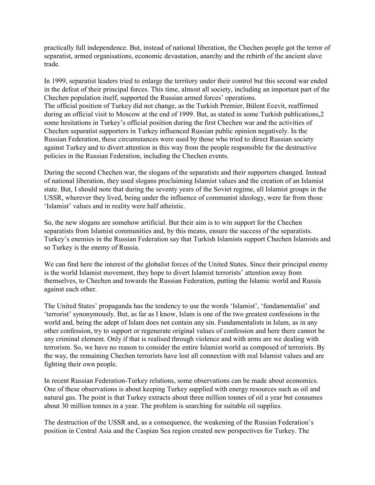practically full independence. But, instead of national liberation, the Chechen people got the terror of separatist, armed organisations, economic devastation, anarchy and the rebirth of the ancient slave trade.

In 1999, separatist leaders tried to enlarge the territory under their control but this second war ended in the defeat of their principal forces. This time, almost all society, including an important part of the Chechen population itself, supported the Russian armed forces' operations. The official position of Turkey did not change, as the Turkish Premier, Bülent Ecevit, reaffirmed during an official visit to Moscow at the end of 1999. But, as stated in some Turkish publications,2 some hesitations in Turkey's official position during the first Chechen war and the activities of Chechen separatist supporters in Turkey influenced Russian public opinion negatively. In the Russian Federation, these circumstances were used by those who tried to direct Russian society against Turkey and to divert attention in this way from the people responsible for the destructive policies in the Russian Federation, including the Chechen events.

During the second Chechen war, the slogans of the separatists and their supporters changed. Instead of national liberation, they used slogans proclaiming Islamist values and the creation of an Islamist state. But, I should note that during the seventy years of the Soviet regime, all Islamist groups in the USSR, wherever they lived, being under the influence of communist ideology, were far from those 'Islamist' values and in reality were half atheistic.

So, the new slogans are somehow artificial. But their aim is to win support for the Chechen separatists from Islamist communities and, by this means, ensure the success of the separatists. Turkey's enemies in the Russian Federation say that Turkish Islamists support Chechen Islamists and so Turkey is the enemy of Russia.

We can find here the interest of the globalist forces of the United States. Since their principal enemy is the world Islamist movement, they hope to divert Islamist terrorists' attention away from themselves, to Chechen and towards the Russian Federation, putting the Islamic world and Russia against each other.

The United States' propaganda has the tendency to use the words 'Islamist', 'fundamentalist' and 'terrorist' synonymously. But, as far as I know, Islam is one of the two greatest confessions in the world and, being the adept of Islam does not contain any sin. Fundamentalists in Islam, as in any other confession, try to support or regenerate original values of confession and here there cannot be any criminal element. Only if that is realised through violence and with arms are we dealing with terrorism. So, we have no reason to consider the entire Islamist world as composed of terrorists. By the way, the remaining Chechen terrorists have lost all connection with real Islamist values and are fighting their own people.

In recent Russian Federation-Turkey relations, some observations can be made about economics. One of these observations is about keeping Turkey supplied with energy resources such as oil and natural gas. The point is that Turkey extracts about three million tonnes of oil a year but consumes about 30 million tonnes in a year. The problem is searching for suitable oil supplies.

The destruction of the USSR and, as a consequence, the weakening of the Russian Federation's position in Central Asia and the Caspian Sea region created new perspectives for Turkey. The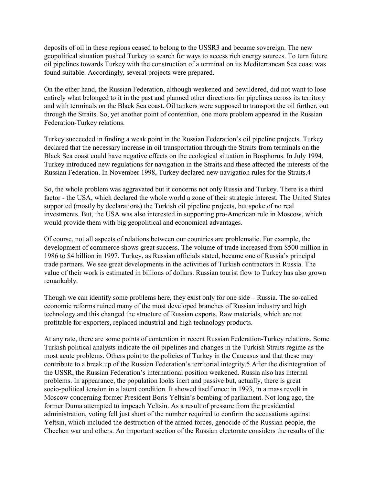deposits of oil in these regions ceased to belong to the USSR3 and became sovereign. The new geopolitical situation pushed Turkey to search for ways to access rich energy sources. To turn future oil pipelines towards Turkey with the construction of a terminal on its Mediterranean Sea coast was found suitable. Accordingly, several projects were prepared.

On the other hand, the Russian Federation, although weakened and bewildered, did not want to lose entirely what belonged to it in the past and planned other directions for pipelines across its territory and with terminals on the Black Sea coast. Oil tankers were supposed to transport the oil further, out through the Straits. So, yet another point of contention, one more problem appeared in the Russian Federation-Turkey relations.

Turkey succeeded in finding a weak point in the Russian Federation's oil pipeline projects. Turkey declared that the necessary increase in oil transportation through the Straits from terminals on the Black Sea coast could have negative effects on the ecological situation in Bosphorus. In July 1994, Turkey introduced new regulations for navigation in the Straits and these affected the interests of the Russian Federation. In November 1998, Turkey declared new navigation rules for the Straits.4

So, the whole problem was aggravated but it concerns not only Russia and Turkey. There is a third factor - the USA, which declared the whole world a zone of their strategic interest. The United States supported (mostly by declarations) the Turkish oil pipeline projects, but spoke of no real investments. But, the USA was also interested in supporting pro-American rule in Moscow, which would provide them with big geopolitical and economical advantages.

Of course, not all aspects of relations between our countries are problematic. For example, the development of commerce shows great success. The volume of trade increased from \$500 million in 1986 to \$4 billion in 1997. Turkey, as Russian officials stated, became one of Russia's principal trade partners. We see great developments in the activities of Turkish contractors in Russia. The value of their work is estimated in billions of dollars. Russian tourist flow to Turkey has also grown remarkably.

Though we can identify some problems here, they exist only for one side – Russia. The so-called economic reforms ruined many of the most developed branches of Russian industry and high technology and this changed the structure of Russian exports. Raw materials, which are not profitable for exporters, replaced industrial and high technology products.

At any rate, there are some points of contention in recent Russian Federation-Turkey relations. Some Turkish political analysts indicate the oil pipelines and changes in the Turkish Straits regime as the most acute problems. Others point to the policies of Turkey in the Caucasus and that these may contribute to a break up of the Russian Federation's territorial integrity.5 After the disintegration of the USSR, the Russian Federation's international position weakened. Russia also has internal problems. In appearance, the population looks inert and passive but, actually, there is great socio-political tension in a latent condition. It showed itself once: in 1993, in a mass revolt in Moscow concerning former President Boris Yeltsin's bombing of parliament. Not long ago, the former Duma attempted to impeach Yeltsin. As a result of pressure from the presidential administration, voting fell just short of the number required to confirm the accusations against Yeltsin, which included the destruction of the armed forces, genocide of the Russian people, the Chechen war and others. An important section of the Russian electorate considers the results of the